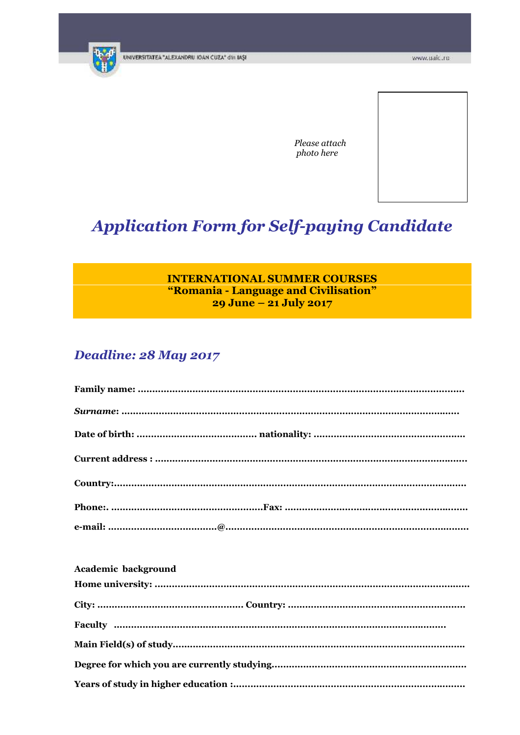

Please attach photo here

# **Application Form for Self-paying Candidate**

## **INTERNATIONAL SUMMER COURSES** "Romania - Language and Civilisation" 29 June - 21 July 2017

# Deadline: 28 May 2017

### Academic background